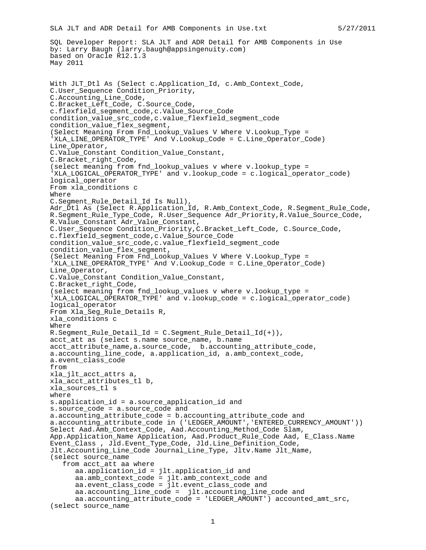```
SLA JLT and ADR Detail for AMB Components in Use.txt 5/27/2011
SQL Developer Report: SLA JLT and ADR Detail for AMB Components in Use
by: Larry Baugh (larry.baugh@appsingenuity.com)
based on Oracle R12.1.3
May 2011
With JLT_Dtl As (Select c.Application_Id, c.Amb_Context_Code,
C.User_Sequence Condition_Priority,
C.Accounting_Line_Code,
C.Bracket_Left_Code, C.Source_Code,
c.flexfield_segment_code,c.Value_Source_Code
condition_value_src_code,c.value_flexfield_segment_code
condition_value_flex_segment,
(Select Meaning From Fnd_Lookup_Values V Where V.Lookup_Type =
'XLA LINE OPERATOR TYPE' And V.Lookup Code = C.Line Operator Code)
Line_Operator,
C.Value_Constant Condition_Value_Constant,
C.Bracket_right_Code,
(select meaning from fnd lookup values v where v.lookup type =
'XLA_LOGICAL_OPERATOR_TYPE' and v.lookup_code = c.logical_operator_code)
logical_operator
From xla_conditions c
Where
C.Segment_Rule_Detail_Id Is Null),
Adr_Dtl As (Select R.Application_Id, R.Amb_Context_Code, R.Segment_Rule_Code,
R.Segment_Rule_Type_Code, R.User_Sequence Adr_Priority,R.Value_Source_Code,
R.Value_Constant Adr_Value_Constant,
C.User Sequence Condition Priority, C.Bracket Left Code, C.Source Code,
c.flexfield_segment_code,c.Value_Source_Code
condition_value_src_code,c.value_flexfield_segment_code
condition_value_flex_segment,
(Select Meaning From Fnd_Lookup_Values V Where V.Lookup_Type =
'XLA_LINE_OPERATOR_TYPE' And V.Lookup_Code = C.Line_Operator_Code)
Line_Operator,
C.Value_Constant Condition_Value_Constant,
C.Bracket_right_Code,
(select meaning from fnd lookup values v where v.lookup type =
'XLA_LOGICAL_OPERATOR_TYPE' and v.lookup_code = c.logical_operator_code)
logical_operator
From Xla_Seg_Rule_Details R,
xla_conditions c
Where
R.Segment_Rule_Detail_Id = C.Segment_Rule_Detail_Id(+)),
acct_att as (select s.name source_name, b.name
acct_attribute_name,a.source_code, b.accounting_attribute_code,
a.accounting line code, a.application id, a.amb context code,
a.event_class_code
from
xla_jlt_acct_attrs a,
xla acct attributes tl b,
xla_sources_tl s
where
s.application id = a.source application id and
s.source code = a.source code and
a.accounting_attribute_code = b.accounting_attribute_code and
a.accounting_attribute_code in ('LEDGER_AMOUNT','ENTERED_CURRENCY_AMOUNT'))
Select Aad.Amb_Context_Code, Aad.Accounting_Method_Code Slam,
App.Application_Name Application, Aad.Product_Rule_Code Aad, E_Class.Name
Event_Class , Jld.Event_Type_Code, Jld.Line_Definition_Code,
Jlt.Accounting_Line_Code Journal_Line_Type, Jltv.Name Jlt_Name,
(select source_name
   from acct_att aa where
      aa.application_id = jlt.application_id and
      aa.amb_context_code = jlt.amb_context_code and
      aa.event_class_code = jlt.event_class_code and
      aa.accounting_line_code = jlt.accounting_line_code and
      aa.accounting_attribute_code = 'LEDGER_AMOUNT') accounted_amt_src,
```

```
(select source_name
```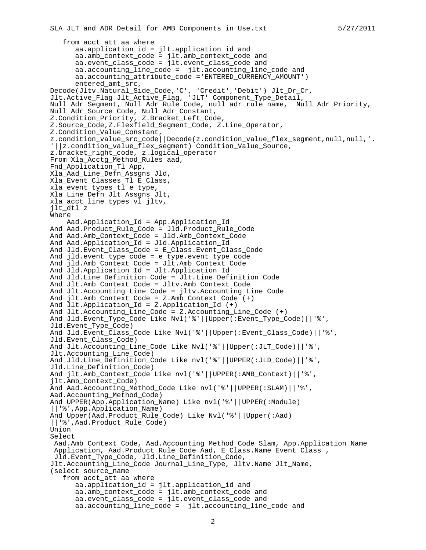```
from acct_att aa where
      aa.application_id = jlt.application_id and
      aa.amb_context_code = jlt.amb_context_code and
      aa.event_class_code = jlt.event_class_code and
      aa.accounting_line_code = jlt.accounting_line_code and
      aa.accounting_attribute_code ='ENTERED_CURRENCY_AMOUNT')
      entered_amt_src,
Decode(Jltv.Natural_Side_Code,'C', 'Credit','Debit') Jlt_Dr_Cr,
Jlt.Active_Flag Jlt_Active_Flag, 'JLT' Component_Type_Detail,
Null Adr_Segment, Null Adr_Rule_Code, null adr_rule_name, Null Adr_Priority,
Null Adr_Source_Code, Null Adr_Constant,
Z.Condition_Priority, Z.Bracket_Left_Code,
Z.Source_Code,Z.Flexfield_Segment_Code, Z.Line_Operator,
Z.Condition_Value_Constant,
z.condition_value_conscant,<br>z.condition_value_src_code||Decode(z.condition_value_flex_segment,null,null,'.
'||z.condition_value_flex_segment) Condition_Value_Source,
z.bracket_right_code, z.logical_operator
From Xla_Acctg_Method_Rules aad,
Fnd Application Tl App,
Xla_Aad_Line_Defn_Assgns Jld,
Xla_Event_Classes_Tl E_Class,
xla_event_types_tl e_type,
Xla_Line_Defn_Jlt_Assgns Jlt,
xla_acct_line_types_vl jltv,
jlt dtl z
Where
    Aad.Application_Id = App.Application_Id
And Aad.Product Rule Code = Jld.Product Rule Code
And Aad.Amb_Context_Code = Jld.Amb_Context_Code
And Aad.Application_Id = Jld.Application_Id
And Jld.Event_Class_Code = E_Class.Event_Class_Code
And jld.event_type_code = e_type.event_type_code
And jld.Amb_Context_Code = Jlt.Amb_Context_Code
And Jld.Application_Id = Jlt.Application_Id
And Jld.Line_Definition_Code = Jlt.Line_Definition_Code
And Jlt.Amb_Context_Code = Jltv.Amb_Context_Code
And Jlt.Accounting_Line_Code = jltv.Accounting_Line_Code
And jlt.Amb_Context_Code = Z.Amb_Context_Code (+)
And Jlt.Application_Id = Z.Application_Id (+)
And Jlt.Accounting_Line_Code = Z.Accounting_Line_Code (+)
And Jld.Event_Type_Code Like Nvl('%'||Upper(:Event_Type_Code)||'%',
Jld.Event_Type_Code)
And Jld.Event_Class_Code Like Nvl('%'||Upper(:Event_Class_Code)||'%',
Jld.Event_Class_Code)
And Jlt.Accounting_Line_Code Like Nvl('%'||Upper(:JLT_Code)||'%',
Jlt.Accounting_Line_Code)
And Jld.Line Definition Code Like nvl('%'||UPPER(:JLD Code)||'%',
Jld.Line_Definition_Code)
And jlt.Amb_Context_Code Like nvl('%'||UPPER(:AMB_Context)||'%',
jlt.Amb_Context_Code)
And Aad.Accounting_Method_Code Like nvl('%'||UPPER(:SLAM)||'%',
Aad.Accounting_Method_Code)
And UPPER(App.Application Name) Like nvl('%'||UPPER(:Module)
||'%',App.Application_Name)
And Upper(Aad.Product_Rule_Code) Like Nvl('%'||Upper(:Aad)
||'%',Aad.Product_Rule_Code)
Union
Select
 Aad.Amb_Context_Code, Aad.Accounting_Method_Code Slam, App.Application_Name
 Application, Aad.Product_Rule_Code Aad, E_Class.Name Event_Class ,
 Jld.Event_Type_Code, Jld.Line_Definition_Code,
Jlt.Accounting_Line_Code Journal_Line_Type, Jltv.Name Jlt_Name,
(select source_name
   from acct_att aa where
      aa.application_id = jlt.application_id and
      aa.amb_context_code = jlt.amb_context_code and
      aa.event_class_code = jlt.event_class_code and
      aa.accounting line code = jlt.accounting line code and
```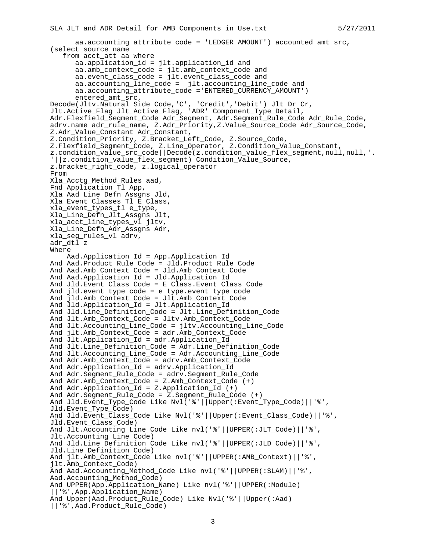```
aa.accounting_attribute_code = 'LEDGER_AMOUNT') accounted_amt_src,
(select source_name
   from acct_att aa where
      aa.application_id = jlt.application_id and
      aa.amb_context_code = jlt.amb_context_code and
      aa.event_class_code = jlt.event_class_code and
      aa.accounting_line_code = jlt.accounting_line_code and
      aa.accounting_attribute_code ='ENTERED_CURRENCY_AMOUNT')
      entered_amt_src,
Decode(Jltv.Natural_Side_Code,'C', 'Credit','Debit') Jlt_Dr_Cr,
Jlt.Active_Flag Jlt_Active_Flag, 'ADR' Component_Type_Detail,
Adr.Flexfield_Segment_Code Adr_Segment, Adr.Segment_Rule_Code Adr_Rule_Code,
adrv.name adr_rule_name, Z.Adr_Priority,Z.Value_Source_Code Adr_Source_Code,
Z.Adr_Value_Constant Adr_Constant,
Z.Condition_Priority, Z.Bracket_Left_Code, Z.Source_Code,
Z.Flexfield_Segment_Code, Z.Line_Operator, Z.Condition_Value_Constant,
z.condition_value_src_code||Decode(z.condition_value_flex_segment,null,null,'.
'||z.condition_value_flex_segment) Condition_Value_Source,
z.bracket_right_code, z.logical_operator
From
Xla_Acctg_Method_Rules aad,
Fnd_Application_Tl App,
Xla_Aad_Line_Defn_Assgns Jld,
Xla_Event_Classes_Tl E_Class,
xla_event_types_tl e_type,
Xla_Line_Defn_Jlt_Assgns Jlt,
xla_acct_line_types_vl jltv,
Xla_Line_Defn_Adr_Assgns Adr,
xla_seg_rules_vl adrv,
adr_dtl z
Where
    Aad.Application_Id = App.Application_Id
And Aad.Product_Rule_Code = Jld.Product_Rule_Code
And Aad.Amb_Context_Code = Jld.Amb_Context_Code
And Aad.Application_Id = Jld.Application_Id
And Jld.Event Class Code = E Class.Event Class Code
And ild.event type code = e type.event type code
And jld.Amb_Context_Code = Jlt.Amb_Context_Code
And Jld.Application_Id = Jlt.Application_Id
And Jld.Line_Definition_Code = Jlt.Line_Definition_Code
And Jlt.Amb_Context_Code = Jltv.Amb_Context_Code
And Jlt.Accounting_Line_Code = jltv.Accounting_Line_Code
And jlt.Amb_Context_Code = adr.Amb_Context_Code
And Jlt.Application_Id = adr.Application_Id
And Jlt.Line_Definition_Code = Adr.Line_Definition_Code
And Jlt.Accounting_Line_Code = Adr.Accounting_Line_Code
And Adr.Amb_Context_Code = adrv.Amb_Context_Code
And Adr.Application_Id = adrv.Application_Id
And Adr.Segment_Rule_Code = adrv.Segment_Rule_Code
And Adr.Amb_Context_Code = Z.Amb_Context_Code (+)
And Adr.Application_Id = Z.Application_Id (+)
And Adr.Segment_Rule_Code = Z.Segment_Rule_Code (+)
And Jld.Event_Type_Code Like Nvl('%'||Upper(:Event_Type_Code)||'%',
Jld.Event_Type_Code)
And Jld.Event_Class_Code Like Nvl('%'||Upper(:Event_Class_Code)||'%',
Jld.Event_Class_Code)
And Jlt.Accounting_Line_Code Like nvl('%'||UPPER(:JLT_Code)||'%',
Jlt.Accounting_Line_Code)
And Jld.Line_Definition_Code Like nvl('%'||UPPER(:JLD_Code)||'%',
Jld.Line_Definition_Code)
And jlt.Amb_Context_Code Like nvl('%'||UPPER(:AMB_Context)||'%',
jlt.Amb_Context_Code)
And Aad.Accounting_Method_Code Like nvl('%'||UPPER(:SLAM)||'%',
Aad.Accounting_Method_Code)
And UPPER(App.Application_Name) Like nvl('%'||UPPER(:Module)
||'%',App.Application_Name)
And Upper(Aad.Product_Rule_Code) Like Nvl('%'||Upper(:Aad)
||'%',Aad.Product_Rule_Code)
```